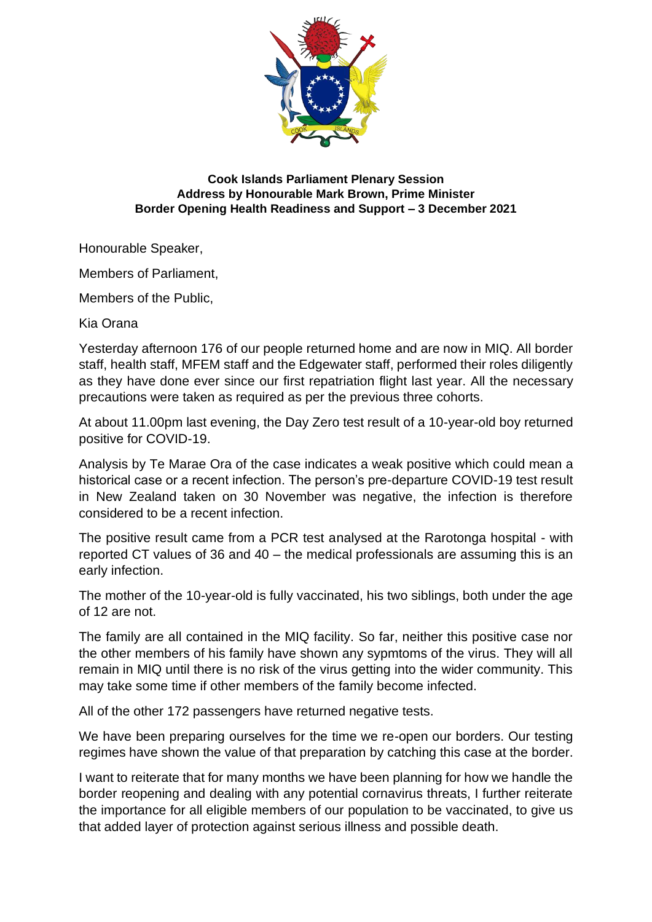

## **Cook Islands Parliament Plenary Session Address by Honourable Mark Brown, Prime Minister Border Opening Health Readiness and Support – 3 December 2021**

Honourable Speaker,

Members of Parliament,

Members of the Public,

Kia Orana

Yesterday afternoon 176 of our people returned home and are now in MIQ. All border staff, health staff, MFEM staff and the Edgewater staff, performed their roles diligently as they have done ever since our first repatriation flight last year. All the necessary precautions were taken as required as per the previous three cohorts.

At about 11.00pm last evening, the Day Zero test result of a 10-year-old boy returned positive for COVID-19.

Analysis by Te Marae Ora of the case indicates a weak positive which could mean a historical case or a recent infection. The person's pre-departure COVID-19 test result in New Zealand taken on 30 November was negative, the infection is therefore considered to be a recent infection.

The positive result came from a PCR test analysed at the Rarotonga hospital - with reported CT values of 36 and 40 – the medical professionals are assuming this is an early infection.

The mother of the 10-year-old is fully vaccinated, his two siblings, both under the age of 12 are not.

The family are all contained in the MIQ facility. So far, neither this positive case nor the other members of his family have shown any sypmtoms of the virus. They will all remain in MIQ until there is no risk of the virus getting into the wider community. This may take some time if other members of the family become infected.

All of the other 172 passengers have returned negative tests.

We have been preparing ourselves for the time we re-open our borders. Our testing regimes have shown the value of that preparation by catching this case at the border.

I want to reiterate that for many months we have been planning for how we handle the border reopening and dealing with any potential cornavirus threats, I further reiterate the importance for all eligible members of our population to be vaccinated, to give us that added layer of protection against serious illness and possible death.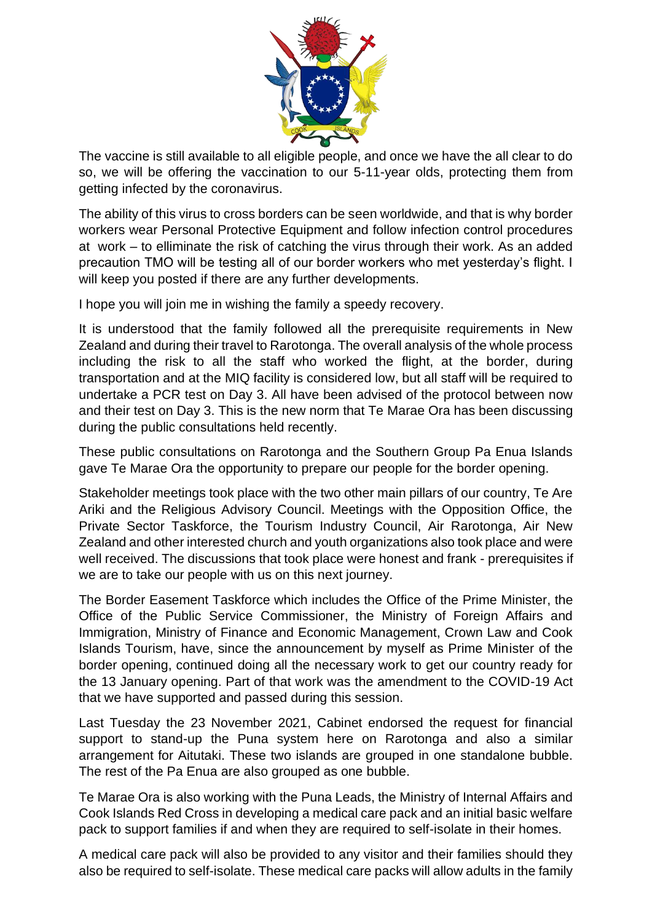

The vaccine is still available to all eligible people, and once we have the all clear to do so, we will be offering the vaccination to our 5-11-year olds, protecting them from getting infected by the coronavirus.

The ability of this virus to cross borders can be seen worldwide, and that is why border workers wear Personal Protective Equipment and follow infection control procedures at work – to elliminate the risk of catching the virus through their work. As an added precaution TMO will be testing all of our border workers who met yesterday's flight. I will keep you posted if there are any further developments.

I hope you will join me in wishing the family a speedy recovery.

It is understood that the family followed all the prerequisite requirements in New Zealand and during their travel to Rarotonga. The overall analysis of the whole process including the risk to all the staff who worked the flight, at the border, during transportation and at the MIQ facility is considered low, but all staff will be required to undertake a PCR test on Day 3. All have been advised of the protocol between now and their test on Day 3. This is the new norm that Te Marae Ora has been discussing during the public consultations held recently.

These public consultations on Rarotonga and the Southern Group Pa Enua Islands gave Te Marae Ora the opportunity to prepare our people for the border opening.

Stakeholder meetings took place with the two other main pillars of our country, Te Are Ariki and the Religious Advisory Council. Meetings with the Opposition Office, the Private Sector Taskforce, the Tourism Industry Council, Air Rarotonga, Air New Zealand and other interested church and youth organizations also took place and were well received. The discussions that took place were honest and frank - prerequisites if we are to take our people with us on this next journey.

The Border Easement Taskforce which includes the Office of the Prime Minister, the Office of the Public Service Commissioner, the Ministry of Foreign Affairs and Immigration, Ministry of Finance and Economic Management, Crown Law and Cook Islands Tourism, have, since the announcement by myself as Prime Minister of the border opening, continued doing all the necessary work to get our country ready for the 13 January opening. Part of that work was the amendment to the COVID-19 Act that we have supported and passed during this session.

Last Tuesday the 23 November 2021, Cabinet endorsed the request for financial support to stand-up the Puna system here on Rarotonga and also a similar arrangement for Aitutaki. These two islands are grouped in one standalone bubble. The rest of the Pa Enua are also grouped as one bubble.

Te Marae Ora is also working with the Puna Leads, the Ministry of Internal Affairs and Cook Islands Red Cross in developing a medical care pack and an initial basic welfare pack to support families if and when they are required to self-isolate in their homes.

A medical care pack will also be provided to any visitor and their families should they also be required to self-isolate. These medical care packs will allow adults in the family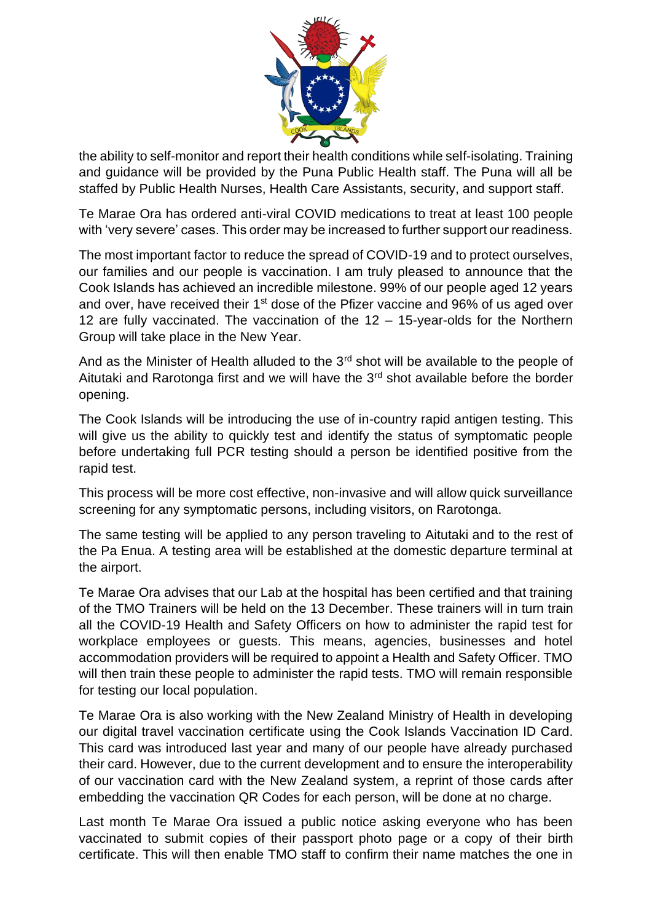

the ability to self-monitor and report their health conditions while self-isolating. Training and guidance will be provided by the Puna Public Health staff. The Puna will all be staffed by Public Health Nurses, Health Care Assistants, security, and support staff.

Te Marae Ora has ordered anti-viral COVID medications to treat at least 100 people with 'very severe' cases. This order may be increased to further support our readiness.

The most important factor to reduce the spread of COVID-19 and to protect ourselves, our families and our people is vaccination. I am truly pleased to announce that the Cook Islands has achieved an incredible milestone. 99% of our people aged 12 years and over, have received their 1<sup>st</sup> dose of the Pfizer vaccine and 96% of us aged over 12 are fully vaccinated. The vaccination of the 12 – 15-year-olds for the Northern Group will take place in the New Year.

And as the Minister of Health alluded to the 3<sup>rd</sup> shot will be available to the people of Aitutaki and Rarotonga first and we will have the  $3<sup>rd</sup>$  shot available before the border opening.

The Cook Islands will be introducing the use of in-country rapid antigen testing. This will give us the ability to quickly test and identify the status of symptomatic people before undertaking full PCR testing should a person be identified positive from the rapid test.

This process will be more cost effective, non-invasive and will allow quick surveillance screening for any symptomatic persons, including visitors, on Rarotonga.

The same testing will be applied to any person traveling to Aitutaki and to the rest of the Pa Enua. A testing area will be established at the domestic departure terminal at the airport.

Te Marae Ora advises that our Lab at the hospital has been certified and that training of the TMO Trainers will be held on the 13 December. These trainers will in turn train all the COVID-19 Health and Safety Officers on how to administer the rapid test for workplace employees or guests. This means, agencies, businesses and hotel accommodation providers will be required to appoint a Health and Safety Officer. TMO will then train these people to administer the rapid tests. TMO will remain responsible for testing our local population.

Te Marae Ora is also working with the New Zealand Ministry of Health in developing our digital travel vaccination certificate using the Cook Islands Vaccination ID Card. This card was introduced last year and many of our people have already purchased their card. However, due to the current development and to ensure the interoperability of our vaccination card with the New Zealand system, a reprint of those cards after embedding the vaccination QR Codes for each person, will be done at no charge.

Last month Te Marae Ora issued a public notice asking everyone who has been vaccinated to submit copies of their passport photo page or a copy of their birth certificate. This will then enable TMO staff to confirm their name matches the one in